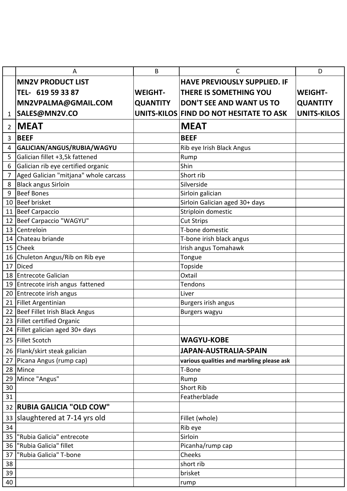|    | А                                     | B               | C                                         | D                  |
|----|---------------------------------------|-----------------|-------------------------------------------|--------------------|
|    | <b>MN2V PRODUCT LIST</b>              |                 | <b>HAVE PREVIOUSLY SUPPLIED. IF</b>       |                    |
|    | TEL- 619 59 33 87                     | <b>WEIGHT-</b>  | THERE IS SOMETHING YOU                    | <b>WEIGHT-</b>     |
|    | MN2VPALMA@GMAIL.COM                   | <b>QUANTITY</b> | <b>DON'T SEE AND WANT US TO</b>           | <b>QUANTITY</b>    |
| 1  | SALES@MN2V.CO                         |                 | UNITS-KILOS FIND DO NOT HESITATE TO ASK   | <b>UNITS-KILOS</b> |
| 2  | <b>MEAT</b>                           |                 | <b>MEAT</b>                               |                    |
| 3  | <b>BEEF</b>                           |                 | <b>BEEF</b>                               |                    |
| 4  | GALICIAN/ANGUS/RUBIA/WAGYU            |                 | Rib eye Irish Black Angus                 |                    |
| 5  | Galician fillet +3,5k fattened        |                 | Rump                                      |                    |
| 6  | Galician rib eye certified organic    |                 | Shin                                      |                    |
| 7  | Aged Galician "mitjana" whole carcass |                 | Short rib                                 |                    |
| 8  | <b>Black angus Sirloin</b>            |                 | Silverside                                |                    |
| 9  | <b>Beef Bones</b>                     |                 | Sirloin galician                          |                    |
| 10 | <b>Beef brisket</b>                   |                 | Sirloin Galician aged 30+ days            |                    |
| 11 | Beef Carpaccio                        |                 | Striploin domestic                        |                    |
| 12 | Beef Carpaccio "WAGYU"                |                 | <b>Cut Strips</b>                         |                    |
| 13 | Centreloin                            |                 | T-bone domestic                           |                    |
|    | 14 Chateau briande                    |                 | T-bone irish black angus                  |                    |
|    | 15 Cheek                              |                 | Irish angus Tomahawk                      |                    |
| 16 | Chuleton Angus/Rib on Rib eye         |                 | Tongue                                    |                    |
| 17 | Diced                                 |                 | Topside                                   |                    |
| 18 | <b>Entrecote Galician</b>             |                 | Oxtail                                    |                    |
| 19 | Entrecote irish angus fattened        |                 | <b>Tendons</b>                            |                    |
| 20 | Entrecote irish angus                 |                 | Liver                                     |                    |
| 21 | Fillet Argentinian                    |                 | Burgers irish angus                       |                    |
| 22 | Beef Fillet Irish Black Angus         |                 | <b>Burgers wagyu</b>                      |                    |
| 23 | Fillet certified Organic              |                 |                                           |                    |
|    | 24 Fillet galician aged 30+ days      |                 |                                           |                    |
|    | 25 Fillet Scotch                      |                 | <b>WAGYU-KOBE</b>                         |                    |
|    | 26   Flank/skirt steak galician       |                 | JAPAN-AUSTRALIA-SPAIN                     |                    |
| 27 | Picana Angus (rump cap)               |                 | various qualities and marbling please ask |                    |
| 28 | Mince                                 |                 | T-Bone                                    |                    |
| 29 | Mince "Angus"                         |                 | Rump                                      |                    |
| 30 |                                       |                 | Short Rib                                 |                    |
| 31 |                                       |                 | Featherblade                              |                    |
| 32 | <b>RUBIA GALICIA "OLD COW"</b>        |                 |                                           |                    |
| 33 | slaughtered at 7-14 yrs old           |                 | Fillet (whole)                            |                    |
| 34 |                                       |                 | Rib eye                                   |                    |
| 35 | "Rubia Galicia" entrecote             |                 | Sirloin                                   |                    |
| 36 | "Rubia Galicia" fillet                |                 | Picanha/rump cap                          |                    |
| 37 | "Rubia Galicia" T-bone                |                 | Cheeks                                    |                    |
| 38 |                                       |                 | short rib                                 |                    |
| 39 |                                       |                 | brisket                                   |                    |
| 40 |                                       |                 | rump                                      |                    |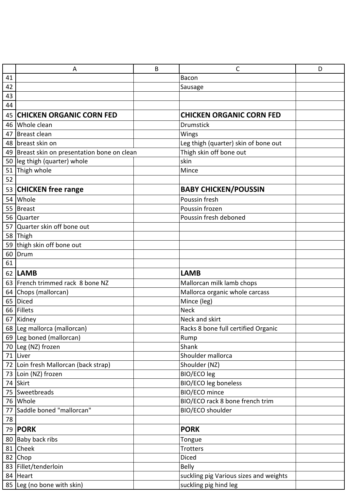|    | A                                            | B | C                                      | D |
|----|----------------------------------------------|---|----------------------------------------|---|
| 41 |                                              |   | Bacon                                  |   |
| 42 |                                              |   | Sausage                                |   |
| 43 |                                              |   |                                        |   |
| 44 |                                              |   |                                        |   |
| 45 | <b>CHICKEN ORGANIC CORN FED</b>              |   | <b>CHICKEN ORGANIC CORN FED</b>        |   |
|    | 46 Whole clean                               |   | <b>Drumstick</b>                       |   |
| 47 | Breast clean                                 |   | Wings                                  |   |
|    | 48 breast skin on                            |   | Leg thigh (quarter) skin of bone out   |   |
|    | 49 Breast skin on presentation bone on clean |   | Thigh skin off bone out                |   |
|    | 50 leg thigh (quarter) whole                 |   | skin                                   |   |
|    | 51 Thigh whole                               |   | Mince                                  |   |
| 52 |                                              |   |                                        |   |
|    | 53 CHICKEN free range                        |   | <b>BABY CHICKEN/POUSSIN</b>            |   |
| 54 | Whole                                        |   | Poussin fresh                          |   |
|    | 55 Breast                                    |   | Poussin frozen                         |   |
|    | 56 Quarter                                   |   | Poussin fresh deboned                  |   |
|    | 57 Quarter skin off bone out                 |   |                                        |   |
|    | 58 Thigh                                     |   |                                        |   |
| 59 | thigh skin off bone out                      |   |                                        |   |
| 60 | Drum                                         |   |                                        |   |
| 61 |                                              |   |                                        |   |
|    | 62 LAMB                                      |   | <b>LAMB</b>                            |   |
|    | 63 French trimmed rack 8 bone NZ             |   | Mallorcan milk lamb chops              |   |
|    | 64 Chops (mallorcan)                         |   | Mallorca organic whole carcass         |   |
| 65 | <b>Diced</b>                                 |   | Mince (leg)                            |   |
|    | 66 Fillets                                   |   | <b>Neck</b>                            |   |
| 67 | Kidney                                       |   | Neck and skirt                         |   |
|    | 68 Leg mallorca (mallorcan)                  |   | Racks 8 bone full certified Organic    |   |
|    | 69 Leg boned (mallorcan)                     |   | Rump                                   |   |
|    | 70 Leg (NZ) frozen                           |   | Shank                                  |   |
|    | 71 Liver                                     |   | Shoulder mallorca                      |   |
|    | 72 Loin fresh Mallorcan (back strap)         |   | Shoulder (NZ)                          |   |
|    | 73 Loin (NZ) frozen                          |   | BIO/ECO leg                            |   |
|    | 74 Skirt                                     |   | <b>BIO/ECO leg boneless</b>            |   |
|    | 75 Sweetbreads                               |   | BIO/ECO mince                          |   |
|    | 76 Whole                                     |   | BIO/ECO rack 8 bone french trim        |   |
| 77 | Saddle boned "mallorcan"                     |   | BIO/ECO shoulder                       |   |
| 78 |                                              |   |                                        |   |
| 79 | <b>PORK</b>                                  |   | <b>PORK</b>                            |   |
|    | 80 Baby back ribs                            |   | Tongue                                 |   |
| 81 | Cheek                                        |   | Trotters                               |   |
|    | 82 Chop                                      |   | <b>Diced</b>                           |   |
|    | 83 Fillet/tenderloin                         |   | <b>Belly</b>                           |   |
|    | 84 Heart                                     |   | suckling pig Various sizes and weights |   |
|    | 85 Leg (no bone with skin)                   |   | suckling pig hind leg                  |   |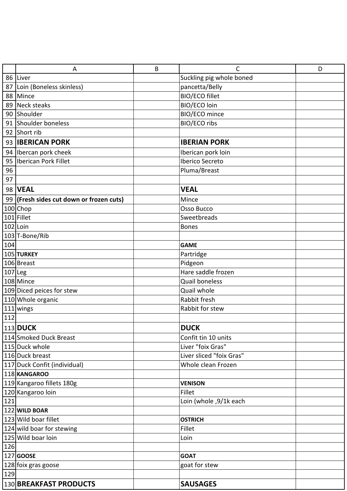|           | A                                               | B | C                            | D |
|-----------|-------------------------------------------------|---|------------------------------|---|
| 86        | Liver                                           |   | Suckling pig whole boned     |   |
|           | 87 Loin (Boneless skinless)                     |   | pancetta/Belly               |   |
|           | 88 Mince                                        |   | <b>BIO/ECO fillet</b>        |   |
| 89        | Neck steaks                                     |   | BIO/ECO loin                 |   |
|           | 90 Shoulder                                     |   | BIO/ECO mince                |   |
|           | 91 Shoulder boneless                            |   | <b>BIO/ECO ribs</b>          |   |
|           | 92 Short rib                                    |   |                              |   |
|           | 93 <b>IBERICAN PORK</b>                         |   | <b>IBERIAN PORK</b>          |   |
|           | 94   Ibercan pork cheek                         |   | Iberican pork loin           |   |
| 95        | Iberican Pork Fillet                            |   | Iberico Secreto              |   |
| 96        |                                                 |   | Pluma/Breast                 |   |
| 97        |                                                 |   |                              |   |
|           | 98   VEAL                                       |   | <b>VEAL</b>                  |   |
|           | 99 (Fresh sides cut down or frozen cuts)        |   | Mince                        |   |
|           | 100 Chop                                        |   | Osso Bucco                   |   |
|           | 101 Fillet                                      |   | Sweetbreads                  |   |
|           | $102$ Loin                                      |   | <b>Bones</b>                 |   |
|           | 103 T-Bone/Rib                                  |   |                              |   |
| 104       |                                                 |   | <b>GAME</b>                  |   |
|           | 105 TURKEY                                      |   | Partridge                    |   |
|           | 106 Breast                                      |   | Pidgeon                      |   |
| $107$ Leg |                                                 |   | Hare saddle frozen           |   |
|           | 108 Mince                                       |   | <b>Quail boneless</b>        |   |
|           | 109 Diced peices for stew                       |   | Quail whole                  |   |
|           | 110 Whole organic                               |   | Rabbit fresh                 |   |
|           | 111 wings                                       |   | Rabbit for stew              |   |
| 112       |                                                 |   |                              |   |
|           | 113 DUCK                                        |   | <b>DUCK</b>                  |   |
|           | 114 Smoked Duck Breast                          |   | Confit tin 10 units          |   |
|           | 115 Duck whole                                  |   | Liver "foix Gras"            |   |
|           | 116 Duck breast                                 |   | Liver sliced "foix Gras"     |   |
|           | 117 Duck Confit (individual)                    |   | Whole clean Frozen           |   |
|           | 118 KANGAROO                                    |   |                              |   |
|           | 119 Kangaroo fillets 180g                       |   | <b>VENISON</b>               |   |
|           | 120 Kangaroo loin                               |   | Fillet                       |   |
| 121       |                                                 |   | Loin (whole ,9/1k each       |   |
|           | 122 WILD BOAR                                   |   |                              |   |
|           | 123 Wild boar fillet                            |   | <b>OSTRICH</b>               |   |
|           | 124 wild boar for stewing<br>125 Wild boar loin |   | Fillet                       |   |
|           |                                                 |   | Loin                         |   |
| 126       |                                                 |   |                              |   |
|           | 127 GOOSE<br>128 foix gras goose                |   | <b>GOAT</b><br>goat for stew |   |
| 129       |                                                 |   |                              |   |
|           |                                                 |   |                              |   |
|           | 130 BREAKFAST PRODUCTS                          |   | <b>SAUSAGES</b>              |   |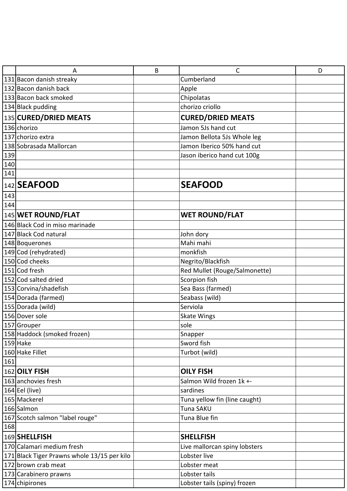|     | Α                                           | B | C                             | D |
|-----|---------------------------------------------|---|-------------------------------|---|
|     | 131 Bacon danish streaky                    |   | Cumberland                    |   |
|     | 132 Bacon danish back                       |   | Apple                         |   |
|     | 133 Bacon back smoked                       |   | Chipolatas                    |   |
|     | 134 Black pudding                           |   | chorizo criollo               |   |
|     | 135 CURED/DRIED MEATS                       |   | <b>CURED/DRIED MEATS</b>      |   |
|     | 136 chorizo                                 |   | Jamon 5Js hand cut            |   |
|     | 137 chorizo extra                           |   | Jamon Bellota 5Js Whole leg   |   |
|     | 138 Sobrasada Mallorcan                     |   | Jamon Iberico 50% hand cut    |   |
| 139 |                                             |   | Jason iberico hand cut 100g   |   |
| 140 |                                             |   |                               |   |
| 141 |                                             |   |                               |   |
|     | 142 SEAFOOD                                 |   | <b>SEAFOOD</b>                |   |
| 143 |                                             |   |                               |   |
| 144 |                                             |   |                               |   |
|     | 145 WET ROUND/FLAT                          |   | <b>WET ROUND/FLAT</b>         |   |
|     | 146 Black Cod in miso marinade              |   |                               |   |
|     | 147 Black Cod natural                       |   | John dory                     |   |
|     | 148 Boquerones                              |   | Mahi mahi                     |   |
|     | 149 Cod (rehydrated)                        |   | monkfish                      |   |
|     | 150 Cod cheeks                              |   | Negrito/Blackfish             |   |
|     | 151 Cod fresh                               |   | Red Mullet (Rouge/Salmonette) |   |
|     | 152 Cod salted dried                        |   | Scorpion fish                 |   |
|     | 153 Corvina/shadefish                       |   | Sea Bass (farmed)             |   |
|     | 154 Dorada (farmed)                         |   | Seabass (wild)                |   |
|     | 155 Dorada (wild)                           |   | Serviola                      |   |
|     | 156 Dover sole                              |   | <b>Skate Wings</b>            |   |
|     | 157 Grouper                                 |   | sole                          |   |
|     | 158 Haddock (smoked frozen)                 |   | Snapper                       |   |
|     | 159 Hake                                    |   | Sword fish                    |   |
|     | 160 Hake Fillet                             |   | Turbot (wild)                 |   |
| 161 |                                             |   |                               |   |
|     | 162 OILY FISH                               |   | <b>OILY FISH</b>              |   |
|     | 163 anchovies fresh                         |   | Salmon Wild frozen 1k +-      |   |
|     | 164 Eel (live)                              |   | sardines                      |   |
|     | 165 Mackerel                                |   | Tuna yellow fin (line caught) |   |
|     | 166 Salmon                                  |   | Tuna SAKU                     |   |
|     | 167 Scotch salmon "label rouge"             |   | Tuna Blue fin                 |   |
| 168 |                                             |   |                               |   |
|     | 169 SHELLFISH                               |   | <b>SHELLFISH</b>              |   |
|     | 170 Calamari medium fresh                   |   | Live mallorcan spiny lobsters |   |
|     | 171 Black Tiger Prawns whole 13/15 per kilo |   | Lobster live                  |   |
|     | 172 brown crab meat                         |   | Lobster meat                  |   |
|     | 173 Carabinero prawns                       |   | Lobster tails                 |   |
|     | 174 chipirones                              |   | Lobster tails (spiny) frozen  |   |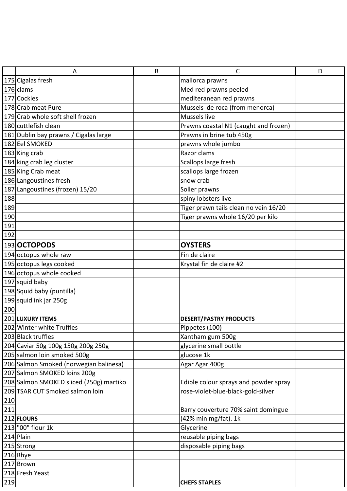|     | Α                                       | B | C                                     | D |
|-----|-----------------------------------------|---|---------------------------------------|---|
|     | 175 Cigalas fresh                       |   | mallorca prawns                       |   |
|     | 176 clams                               |   | Med red prawns peeled                 |   |
|     | 177 Cockles                             |   | mediteranean red prawns               |   |
|     | 178 Crab meat Pure                      |   | Mussels de roca (from menorca)        |   |
|     | 179 Crab whole soft shell frozen        |   | Mussels live                          |   |
|     | 180 cuttlefish clean                    |   | Prawns coastal N1 (caught and frozen) |   |
|     | 181 Dublin bay prawns / Cigalas large   |   | Prawns in brine tub 450g              |   |
|     | 182 Eel SMOKED                          |   | prawns whole jumbo                    |   |
|     | 183 King crab                           |   | Razor clams                           |   |
|     | 184 king crab leg cluster               |   | Scallops large fresh                  |   |
|     | 185 King Crab meat                      |   | scallops large frozen                 |   |
|     | 186 Langoustines fresh                  |   | snow crab                             |   |
|     | 187 Langoustines (frozen) 15/20         |   | Soller prawns                         |   |
| 188 |                                         |   | spiny lobsters live                   |   |
| 189 |                                         |   | Tiger prawn tails clean no vein 16/20 |   |
| 190 |                                         |   | Tiger prawns whole 16/20 per kilo     |   |
| 191 |                                         |   |                                       |   |
| 192 |                                         |   |                                       |   |
|     | 193 OCTOPODS                            |   | <b>OYSTERS</b>                        |   |
|     | 194 octopus whole raw                   |   | Fin de claire                         |   |
|     | 195 octopus legs cooked                 |   | Krystal fin de claire #2              |   |
|     | 196 octopus whole cooked                |   |                                       |   |
|     | 197 squid baby                          |   |                                       |   |
|     | 198 Squid baby (puntilla)               |   |                                       |   |
|     | 199 squid ink jar 250g                  |   |                                       |   |
| 200 |                                         |   |                                       |   |
|     | 201 LUXURY ITEMS                        |   | <b>DESERT/PASTRY PRODUCTS</b>         |   |
|     | 202 Winter white Truffles               |   | Pippetes (100)                        |   |
|     | 203 Black truffles                      |   | Xantham gum 500g                      |   |
|     | 204 Caviar 50g 100g 150g 200g 250g      |   | glycerine small bottle                |   |
|     | 205 salmon loin smoked 500g             |   | glucose 1k                            |   |
|     | 206 Salmon Smoked (norwegian balinesa)  |   | Agar Agar 400g                        |   |
|     | 207 Salmon SMOKED loins 200g            |   |                                       |   |
|     | 208 Salmon SMOKED sliced (250g) martiko |   | Edible colour sprays and powder spray |   |
|     | 209 TSAR CUT Smoked salmon loin         |   | rose-violet-blue-black-gold-silver    |   |
| 210 |                                         |   |                                       |   |
| 211 |                                         |   | Barry couverture 70% saint domingue   |   |
|     | 212 FLOURS                              |   | (42% min mg/fat). 1k                  |   |
|     | 213 "00" flour 1k                       |   | Glycerine                             |   |
|     | 214 Plain                               |   | reusable piping bags                  |   |
|     | 215 Strong                              |   | disposable piping bags                |   |
|     | 216 Rhye                                |   |                                       |   |
|     | 217 Brown                               |   |                                       |   |
|     | 218 Fresh Yeast                         |   |                                       |   |
| 219 |                                         |   | <b>CHEFS STAPLES</b>                  |   |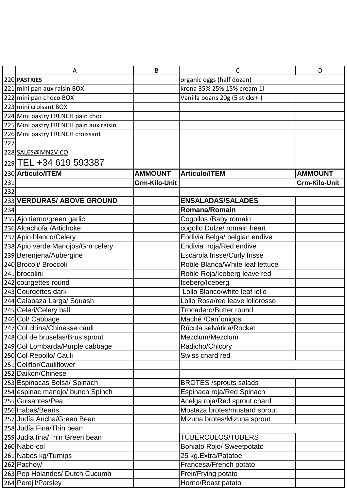|     | Α                                      | B              | С                               | D                    |
|-----|----------------------------------------|----------------|---------------------------------|----------------------|
|     | 220 PASTRIES                           |                | organic eggs (half dozen)       |                      |
|     | 221 mini pan aux raisin BOX            |                | krona 35% 25% 15% cream 1l      |                      |
|     | 222 mini pan choco BOX                 |                | Vanilla beans 20g (5 sticks+-)  |                      |
|     | 223 mini croisant BOX                  |                |                                 |                      |
|     | 224 Mini pastry FRENCH pain choc       |                |                                 |                      |
|     | 225 Mini pastry FRENCH pain aux raisin |                |                                 |                      |
|     | 226 Mini pastry FRENCH croissant       |                |                                 |                      |
| 227 |                                        |                |                                 |                      |
|     | 228 SALES@MN2V.CO                      |                |                                 |                      |
|     | 229 TEL +34 619 593387                 |                |                                 |                      |
|     | 230 Articulo/ITEM                      | <b>AMMOUNT</b> | <b>Articulo/ITEM</b>            | <b>AMMOUNT</b>       |
| 231 |                                        | Grm-Kilo-Unit  |                                 | <b>Grm-Kilo-Unit</b> |
| 232 |                                        |                |                                 |                      |
|     | 233 VERDURAS/ ABOVE GROUND             |                | <b>ENSALADAS/SALADES</b>        |                      |
| 234 |                                        |                | <b>Romana/Romain</b>            |                      |
|     | 235 Ajo tierno/green garlic            |                | Cogollos /Baby romain           |                      |
|     | 236 Alcachofa / Artichoke              |                | cogollo Dulze/ romain heart     |                      |
|     | 237 Apio blanco/Celery                 |                | Endivia Belga/ belgian endive   |                      |
|     | 238 Apio verde Manojos/Grn celery      |                | Endivia roja/Red endive         |                      |
|     | 239 Berenjena/Aubergine                |                | Escarola frisse/Curly frisse    |                      |
|     | 240 Brocoli/ Broccoli                  |                | Roble Blanca/White leaf lettuce |                      |
|     | 241 brocolini                          |                | Roble Roja/Iceberg leave red    |                      |
|     | 242 courgettes round                   |                | Iceberg/Iceberg                 |                      |
|     | 243 Courgettes dark                    |                | Lollo Blanco/white leaf Iollo   |                      |
|     | 244 Calabaza Larga/ Squash             |                | Lollo Rosa/red leave lollorosso |                      |
|     | 245 Celeri/Celery ball                 |                | Trocadero/Butter round          |                      |
|     | 246 Col/ Cabbage                       |                | Maché /Can'onigos               |                      |
|     | 247 Col china/Chinesse cauli           |                | Rúcula selvática/Rocket         |                      |
|     | 248 Col de bruselas/Brus sprout        |                | Mezclum/Mezclum                 |                      |
|     | 249 Col Lombarda/Purple cabbage        |                | Radicho/Chicory                 |                      |
|     | 250 Col Repollo/ Cauli                 |                | Swiss chard red                 |                      |
|     | 251 Coliflor/Cauliflower               |                |                                 |                      |
|     | 252 Daikon/Chinese                     |                |                                 |                      |
|     | 253 Espinacas Bolsa/ Spinach           |                | <b>BROTES /sprouts salads</b>   |                      |
|     | 254 espinac manojo/ bunch Spinch       |                | Espinaca roja/Red Spinach       |                      |
|     | 255 Guisantes/Pea                      |                | Acelga roja/Red sprout chard    |                      |
|     | 256 Habas/Beans                        |                | Mostaza brotes/mustard sprout   |                      |
|     | 257 Judía Ancha/Green Bean             |                | Mizuna brotes/Mizuna sprout     |                      |
|     | 258 Judía Fina/Thin bean               |                |                                 |                      |
|     | 259 Judia fina/Thin Green bean         |                | TUBÉRCULOS/TUBERS               |                      |
|     | 260 Nabo-col                           |                | Boniato Rojo/ Sweetpotato       |                      |
|     | 261 Nabos kg/Turnips                   |                | 25 kg. Extra/Patatoe            |                      |
|     | 262 Pachoy/                            |                | Francesa/French potato          |                      |
|     | 263 Pep Holandes/ Dutch Cucumb         |                | Freir/Frying potato             |                      |
|     | 264 Perejil/Parsley                    |                | Horno/Roast patato              |                      |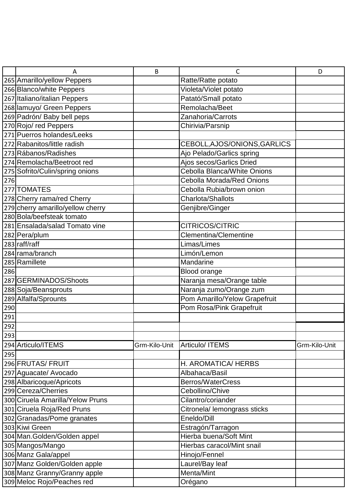|     | А                                 | B             | С                                | D             |
|-----|-----------------------------------|---------------|----------------------------------|---------------|
|     | 265 Amarillo/yellow Peppers       |               | Ratte/Ratte potato               |               |
|     | 266 Blanco/white Peppers          |               | Violeta/Violet potato            |               |
|     | 267 Italiano/italian Peppers      |               | Patató/Small potato              |               |
|     | 268 lamuyo/ Green Peppers         |               | Remolacha/Beet                   |               |
|     | 269 Padrón/ Baby bell peps        |               | Zanahoria/Carrots                |               |
|     | 270 Rojo/ red Peppers             |               | Chirivia/Parsnip                 |               |
|     | 271 Puerros holandes/Leeks        |               |                                  |               |
|     | 272 Rabanitos/little radish       |               | CEBOLL, AJOS/ONIONS, GARLICS     |               |
|     | 273 Rábanos/Radishes              |               | Ajo Pelado/Garlics spring        |               |
|     | 274 Remolacha/Beetroot red        |               | Ajos secos/Garlics Dried         |               |
|     | 275 Sofrito/Culin/spring onions   |               | Cebolla Blanca/White Onions      |               |
| 276 |                                   |               | <b>Cebolla Morada/Red Onions</b> |               |
|     | 277 TOMATES                       |               | Cebolla Rubia/brown onion        |               |
|     | 278 Cherry rama/red Cherry        |               | Charlota/Shallots                |               |
|     | 279 cherry amarillo/yellow cherry |               | Genjibre/Ginger                  |               |
|     | 280 Bola/beefsteak tomato         |               |                                  |               |
|     | 281 Ensalada/salad Tomato vine    |               | <b>CITRICOS/CITRIC</b>           |               |
|     | 282 Pera/plum                     |               | <b>Clementina/Clementine</b>     |               |
|     | 283 raff/raff                     |               | Limas/Limes                      |               |
|     | 284 rama/branch                   |               | Limón/Lemon                      |               |
|     | 285 Ramillete                     |               | Mandarine                        |               |
| 286 |                                   |               | Blood orange                     |               |
|     | 287 GERMINADOS/Shoots             |               | Naranja mesa/Orange table        |               |
|     | 288 Soja/Beansprouts              |               | Naranja zumo/Orange zum          |               |
|     | 289 Alfalfa/Sprounts              |               | Pom Amarillo/Yelow Grapefruit    |               |
| 290 |                                   |               | Pom Rosa/Pink Grapefruit         |               |
| 291 |                                   |               |                                  |               |
| 292 |                                   |               |                                  |               |
| 293 |                                   |               |                                  |               |
|     | 294 Articulo/ITEMS                | Grm-Kilo-Unit | <b>Articulo/ ITEMS</b>           | Grm-Kilo-Unit |
| 295 |                                   |               |                                  |               |
|     | 296 FRUTAS/ FRUIT                 |               | H. AROMATICA/ HERBS              |               |
|     | 297 Aguacate/ Avocado             |               | Albahaca/Basil                   |               |
|     | 298 Albaricoque/Apricots          |               | <b>Berros/WaterCress</b>         |               |
|     | 299 Cereza/Cherries               |               | Cebollino/Chive                  |               |
|     | 300 Ciruela Amarilla/Yelow Pruns  |               | Cilantro/coriander               |               |
|     | 301 Ciruela Roja/Red Pruns        |               | Citronela/ lemongrass sticks     |               |
|     | 302 Granadas/Pome granates        |               | Eneldo/Dill                      |               |
|     | 303 Kiwi Green                    |               | Estragón/Tarragon                |               |
|     | 304 Man. Golden/Golden appel      |               | Hierba buena/Soft Mint           |               |
|     | 305 Mangos/Mango                  |               | Hierbas caracol/Mint snail       |               |
|     | 306 Manz Gala/appel               |               | Hinojo/Fennel                    |               |
|     | 307 Manz Golden/Golden apple      |               | Laurel/Bay leaf                  |               |
|     | 308 Manz Granny/Granny apple      |               | Menta/Mint                       |               |
|     | 309 Meloc Rojo/Peaches red        |               | Orégano                          |               |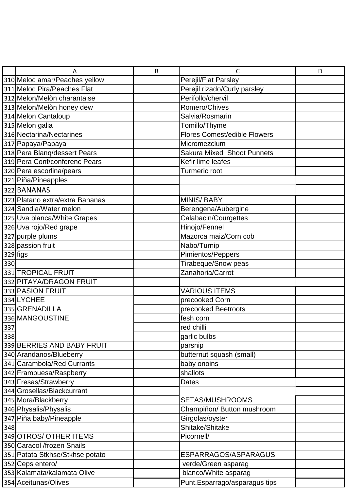|     | Α                               | B | C                                   | D |
|-----|---------------------------------|---|-------------------------------------|---|
|     | 310 Meloc amar/Peaches yellow   |   | Perejil/Flat Parsley                |   |
|     | 311 Meloc Pira/Peaches Flat     |   | Perejil rizado/Curly parsley        |   |
|     | 312 Melon/Melòn charantaise     |   | Perifollo/chervil                   |   |
|     | 313 Melon/Melòn honey dew       |   | Romero/Chives                       |   |
|     | 314 Melon Cantaloup             |   | Salvia/Rosmarin                     |   |
|     | 315 Melon galia                 |   | Tomillo/Thyme                       |   |
|     | 316 Nectarina/Nectarines        |   | <b>Flores Comest/edible Flowers</b> |   |
|     | 317 Papaya/Papaya               |   | Micromezclum                        |   |
|     | 318 Pera Blang/dessert Pears    |   | <b>Sakura Mixed Shoot Punnets</b>   |   |
|     | 319 Pera Conf/conferenc Pears   |   | Kefir lime leafes                   |   |
|     | 320 Pera escorlina/pears        |   | Turmeric root                       |   |
|     | 321 Piña/Pineapples             |   |                                     |   |
|     | 322 BANANAS                     |   |                                     |   |
|     | 323 Platano extra/extra Bananas |   | <b>MINIS/BABY</b>                   |   |
|     | 324 Sandia/Water melon          |   | Berengena/Aubergine                 |   |
|     | 325 Uva blanca/White Grapes     |   | Calabacin/Courgettes                |   |
|     | 326 Uva rojo/Red grape          |   | Hinojo/Fennel                       |   |
|     | 327 purple plums                |   | Mazorca maiz/Corn cob               |   |
|     | 328 passion fruit               |   | Nabo/Turnip                         |   |
|     | 329 figs                        |   | Pimientos/Peppers                   |   |
| 330 |                                 |   | Tirabeque/Snow peas                 |   |
|     | 331 TROPICAL FRUIT              |   | Zanahoria/Carrot                    |   |
|     | 332 PITAYA/DRAGON FRUIT         |   |                                     |   |
|     | 333 PASION FRUIT                |   | <b>VARIOUS ITEMS</b>                |   |
|     | 334 LYCHEE                      |   | precooked Corn                      |   |
|     | 335 GRENADILLA                  |   | precooked Beetroots                 |   |
|     | 336 MANGOUSTINE                 |   | fesh corn                           |   |
| 337 |                                 |   | red chilli                          |   |
| 338 |                                 |   | garlic bulbs                        |   |
|     | 339 BERRIES AND BABY FRUIT      |   | parsnip                             |   |
|     | 340 Arandanos/Blueberry         |   | butternut squash (small)            |   |
|     | 341 Carambola/Red Currants      |   | baby onoins                         |   |
|     | 342 Frambuesa/Raspberry         |   | shallots                            |   |
|     | 343 Fresas/Strawberry           |   | <b>Dates</b>                        |   |
|     | 344 Grosellas/Blackcurrant      |   |                                     |   |
|     | 345 Mora/Blackberry             |   | SETAS/MUSHROOMS                     |   |
|     | 346 Physalis/Physalis           |   | Champiñon/ Button mushroom          |   |
|     | 347 Piña baby/Pineapple         |   | Girgolas/oyster                     |   |
| 348 |                                 |   | Shitake/Shitake                     |   |
|     | 349 OTROS/ OTHER ITEMS          |   | Picornell/                          |   |
|     | 350 Caracol /frozen Snails      |   |                                     |   |
|     | 351 Patata Stkhse/Stkhse potato |   | ESPARRAGOS/ASPARAGUS                |   |
|     | 352 Ceps entero/                |   | verde/Green asparag                 |   |
|     | 353 Kalamata/kalamata Olive     |   | blanco/White asparag                |   |
|     | 354 Aceitunas/Olives            |   | Punt. Esparrago/asparagus tips      |   |